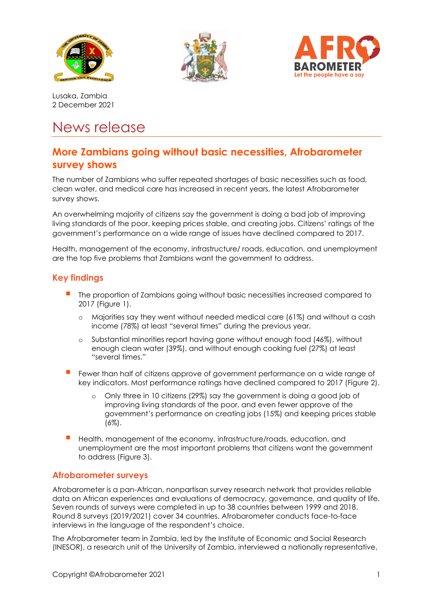





Lusaka, Zambia 2 December 2021

# News release

# **More Zambians going without basic necessities, Afrobarometer survey shows**

The number of Zambians who suffer repeated shortages of basic necessities such as food, clean water, and medical care has increased in recent years, the latest Afrobarometer survey shows.

An overwhelming majority of citizens say the government is doing a bad job of improving living standards of the poor, keeping prices stable, and creating jobs. Citizens' ratings of the government's performance on a wide range of issues have declined compared to 2017.

Health, management of the economy, infrastructure/ roads, education, and unemployment are the top five problems that Zambians want the government to address.

## **Key findings**

- The proportion of Zambians going without basic necessities increased compared to 2017 (Figure 1).
	- o Majorities say they went without needed medical care (61%) and without a cash income (78%) at least "several times" during the previous year.
	- o Substantial minorities report having gone without enough food (46%), without enough clean water (39%), and without enough cooking fuel (27%) at least "several times."
- Fewer than half of citizens approve of government performance on a wide range of key indicators. Most performance ratings have declined compared to 2017 (Figure 2).
	- o Only three in 10 citizens (29%) say the government is doing a good job of improving living standards of the poor, and even fewer approve of the government's performance on creating jobs (15%) and keeping prices stable (6%).
- Health, management of the economy, infrastructure/roads, education, and unemployment are the most important problems that citizens want the government to address (Figure 3).

#### **Afrobarometer surveys**

Afrobarometer is a pan-African, nonpartisan survey research network that provides reliable data on African experiences and evaluations of democracy, governance, and quality of life. Seven rounds of surveys were completed in up to 38 countries between 1999 and 2018. Round 8 surveys (2019/2021) cover 34 countries. Afrobarometer conducts face-to-face interviews in the language of the respondent's choice.

The Afrobarometer team in Zambia, led by the Institute of Economic and Social Research (INESOR), a research unit of the University of Zambia, interviewed a nationally representative,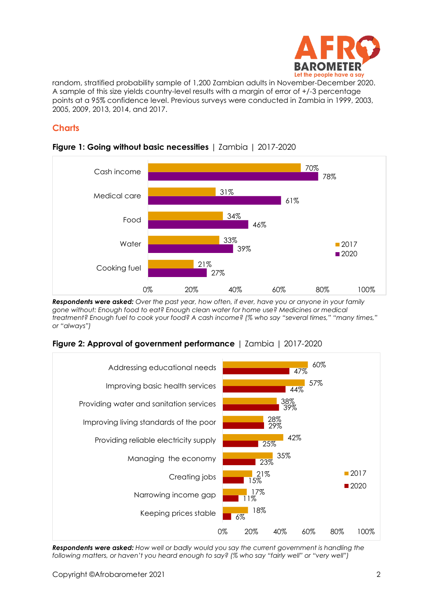

random, stratified probability sample of 1,200 Zambian adults in November-December 2020. A sample of this size yields country-level results with a margin of error of +/-3 percentage points at a 95% confidence level. Previous surveys were conducted in Zambia in 1999, 2003, 2005, 2009, 2013, 2014, and 2017.

# **Charts**



#### **Figure 1: Going without basic necessities** | Zambia | 2017-2020

*Respondents were asked: Over the past year, how often, if ever, have you or anyone in your family gone without: Enough food to eat? Enough clean water for home use? Medicines or medical treatment? Enough fuel to cook your food? A cash income? (% who say "several times," "many times," or "always")*





*Respondents were asked: How well or badly would you say the current government is handling the following matters, or haven't you heard enough to say? (% who say "fairly well" or "very well")*